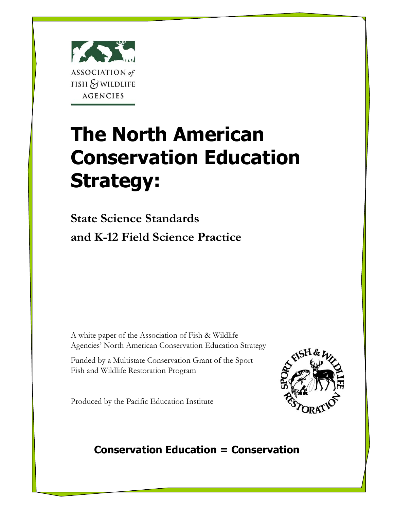

# **The North American Conservation Education Strategy:**

**State Science Standards and K-12 Field Science Practice**

A white paper of the Association of Fish & Wildlife Agencies' North American Conservation Education Strategy

Funded by a Multistate Conservation Grant of the Sport Fish and Wildlife Restoration Program

Produced by the Pacific Education Institute



# **Conservation Education = Conservation**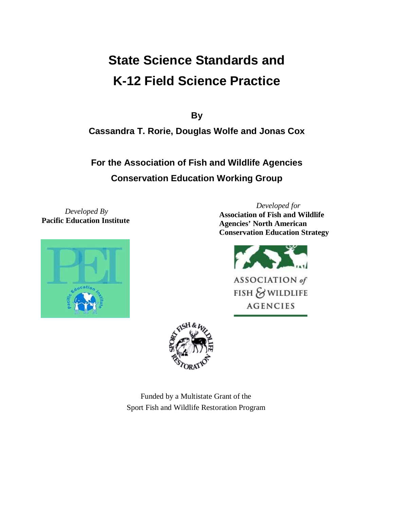# **State Science Standards and K-12 Field Science Practice**

**By**

**Cassandra T. Rorie, Douglas Wolfe and Jonas Cox**

**For the Association of Fish and Wildlife Agencies Conservation Education Working Group**

*Developed By* **Pacific Education Institute**



*Developed for* **Association of Fish and Wildlife Agencies' North American Conservation Education Strategy**





Funded by a Multistate Grant of the Sport Fish and Wildlife Restoration Program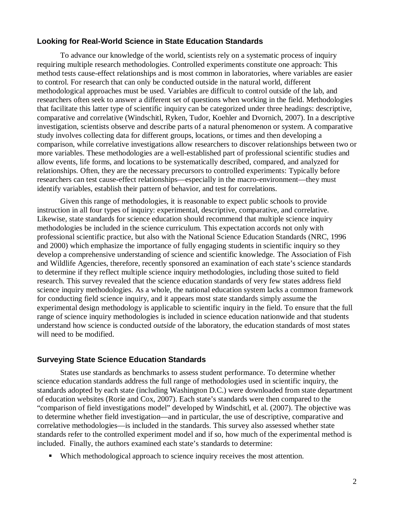# **Looking for Real-World Science in State Education Standards**

To advance our knowledge of the world, scientists rely on a systematic process of inquiry requiring multiple research methodologies. Controlled experiments constitute one approach: This method tests cause-effect relationships and is most common in laboratories, where variables are easier to control. For research that can only be conducted outside in the natural world, different methodological approaches must be used. Variables are difficult to control outside of the lab, and researchers often seek to answer a different set of questions when working in the field. Methodologies that facilitate this latter type of scientific inquiry can be categorized under three headings: descriptive, comparative and correlative (Windschitl, Ryken, Tudor, Koehler and Dvornich, 2007). In a descriptive investigation, scientists observe and describe parts of a natural phenomenon or system. A comparative study involves collecting data for different groups, locations, or times and then developing a comparison, while correlative investigations allow researchers to discover relationships between two or more variables. These methodologies are a well-established part of professional scientific studies and allow events, life forms, and locations to be systematically described, compared, and analyzed for relationships. Often, they are the necessary precursors to controlled experiments: Typically before researchers can test cause-effect relationships—especially in the macro-environment—they must identify variables, establish their pattern of behavior, and test for correlations.

Given this range of methodologies, it is reasonable to expect public schools to provide instruction in all four types of inquiry: experimental, descriptive, comparative, and correlative. Likewise, state standards for science education should recommend that multiple science inquiry methodologies be included in the science curriculum. This expectation accords not only with professional scientific practice, but also with the National Science Education Standards (NRC, 1996 and 2000) which emphasize the importance of fully engaging students in scientific inquiry so they develop a comprehensive understanding of science and scientific knowledge. The Association of Fish and Wildlife Agencies, therefore, recently sponsored an examination of each state's science standards to determine if they reflect multiple science inquiry methodologies, including those suited to field research. This survey revealed that the science education standards of very few states address field science inquiry methodologies. As a whole, the national education system lacks a common framework for conducting field science inquiry, and it appears most state standards simply assume the experimental design methodology is applicable to scientific inquiry in the field. To ensure that the full range of science inquiry methodologies is included in science education nationwide and that students understand how science is conducted *outside* of the laboratory, the education standards of most states will need to be modified.

#### **Surveying State Science Education Standards**

States use standards as benchmarks to assess student performance. To determine whether science education standards address the full range of methodologies used in scientific inquiry, the standards adopted by each state (including Washington D.C.) were downloaded from state department of education websites (Rorie and Cox, 2007). Each state's standards were then compared to the "comparison of field investigations model" developed by Windschitl, et al. (2007). The objective was to determine whether field investigation—and in particular, the use of descriptive, comparative and correlative methodologies—is included in the standards. This survey also assessed whether state standards refer to the controlled experiment model and if so, how much of the experimental method is included. Finally, the authors examined each state's standards to determine:

Which methodological approach to science inquiry receives the most attention.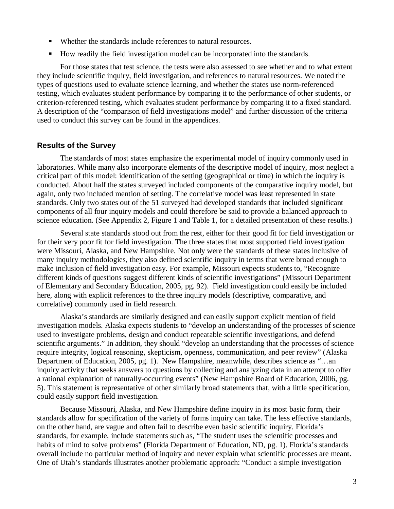- Whether the standards include references to natural resources.
- How readily the field investigation model can be incorporated into the standards.

For those states that test science, the tests were also assessed to see whether and to what extent they include scientific inquiry, field investigation, and references to natural resources. We noted the types of questions used to evaluate science learning, and whether the states use norm-referenced testing, which evaluates student performance by comparing it to the performance of other students, or criterion-referenced testing, which evaluates student performance by comparing it to a fixed standard. A description of the "comparison of field investigations model" and further discussion of the criteria used to conduct this survey can be found in the appendices.

# **Results of the Survey**

The standards of most states emphasize the experimental model of inquiry commonly used in laboratories. While many also incorporate elements of the descriptive model of inquiry, most neglect a critical part of this model: identification of the setting (geographical or time) in which the inquiry is conducted. About half the states surveyed included components of the comparative inquiry model, but again, only two included mention of setting. The correlative model was least represented in state standards. Only two states out of the 51 surveyed had developed standards that included significant components of all four inquiry models and could therefore be said to provide a balanced approach to science education. (See Appendix 2, Figure 1 and Table 1, for a detailed presentation of these results.)

Several state standards stood out from the rest, either for their good fit for field investigation or for their very poor fit for field investigation. The three states that most supported field investigation were Missouri, Alaska, and New Hampshire. Not only were the standards of these states inclusive of many inquiry methodologies, they also defined scientific inquiry in terms that were broad enough to make inclusion of field investigation easy. For example, Missouri expects students to, "Recognize different kinds of questions suggest different kinds of scientific investigations" (Missouri Department of Elementary and Secondary Education, 2005, pg. 92). Field investigation could easily be included here, along with explicit references to the three inquiry models (descriptive, comparative, and correlative) commonly used in field research.

Alaska's standards are similarly designed and can easily support explicit mention of field investigation models. Alaska expects students to "develop an understanding of the processes of science used to investigate problems, design and conduct repeatable scientific investigations, and defend scientific arguments." In addition, they should "develop an understanding that the processes of science require integrity, logical reasoning, skepticism, openness, communication, and peer review" (Alaska Department of Education, 2005, pg. 1). New Hampshire, meanwhile, describes science as "…an inquiry activity that seeks answers to questions by collecting and analyzing data in an attempt to offer a rational explanation of naturally-occurring events" (New Hampshire Board of Education, 2006, pg. 5). This statement is representative of other similarly broad statements that, with a little specification, could easily support field investigation.

Because Missouri, Alaska, and New Hampshire define inquiry in its most basic form, their standards allow for specification of the variety of forms inquiry can take. The less effective standards, on the other hand, are vague and often fail to describe even basic scientific inquiry. Florida's standards, for example, include statements such as, "The student uses the scientific processes and habits of mind to solve problems" (Florida Department of Education, ND, pg. 1). Florida's standards overall include no particular method of inquiry and never explain what scientific processes are meant. One of Utah's standards illustrates another problematic approach: "Conduct a simple investigation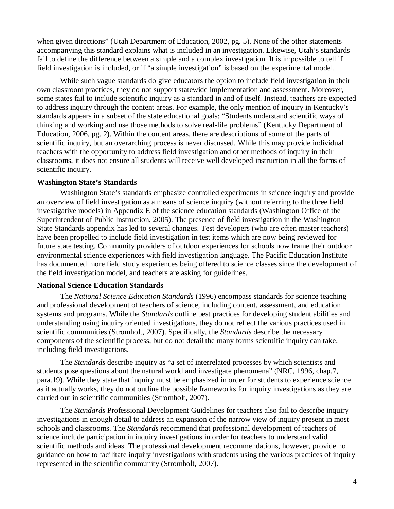when given directions" (Utah Department of Education, 2002, pg. 5). None of the other statements accompanying this standard explains what is included in an investigation. Likewise, Utah's standards fail to define the difference between a simple and a complex investigation. It is impossible to tell if field investigation is included, or if "a simple investigation" is based on the experimental model.

While such vague standards do give educators the option to include field investigation in their own classroom practices, they do not support statewide implementation and assessment. Moreover, some states fail to include scientific inquiry as a standard in and of itself. Instead, teachers are expected to address inquiry through the content areas. For example, the only mention of inquiry in Kentucky's standards appears in a subset of the state educational goals: "Students understand scientific ways of thinking and working and use those methods to solve real-life problems" (Kentucky Department of Education, 2006, pg. 2). Within the content areas, there are descriptions of some of the parts of scientific inquiry, but an overarching process is never discussed. While this may provide individual teachers with the opportunity to address field investigation and other methods of inquiry in their classrooms, it does not ensure all students will receive well developed instruction in all the forms of scientific inquiry.

#### **Washington State's Standards**

Washington State's standards emphasize controlled experiments in science inquiry and provide an overview of field investigation as a means of science inquiry (without referring to the three field investigative models) in Appendix E of the science education standards (Washington Office of the Superintendent of Public Instruction, 2005). The presence of field investigation in the Washington State Standards appendix has led to several changes. Test developers (who are often master teachers) have been propelled to include field investigation in test items which are now being reviewed for future state testing. Community providers of outdoor experiences for schools now frame their outdoor environmental science experiences with field investigation language. The Pacific Education Institute has documented more field study experiences being offered to science classes since the development of the field investigation model, and teachers are asking for guidelines.

#### **National Science Education Standards**

The *National Science Education Standards* (1996) encompass standards for science teaching and professional development of teachers of science, including content, assessment, and education systems and programs. While the *Standards* outline best practices for developing student abilities and understanding using inquiry oriented investigations, they do not reflect the various practices used in scientific communities (Stromholt, 2007). Specifically, the *Standards* describe the necessary components of the scientific process, but do not detail the many forms scientific inquiry can take, including field investigations.

The *Standards* describe inquiry as "a set of interrelated processes by which scientists and students pose questions about the natural world and investigate phenomena" (NRC, 1996, chap.7, para.19). While they state that inquiry must be emphasized in order for students to experience science as it actually works, they do not outline the possible frameworks for inquiry investigations as they are carried out in scientific communities (Stromholt, 2007).

The *Standards* Professional Development Guidelines for teachers also fail to describe inquiry investigations in enough detail to address an expansion of the narrow view of inquiry present in most schools and classrooms. The *Standards* recommend that professional development of teachers of science include participation in inquiry investigations in order for teachers to understand valid scientific methods and ideas. The professional development recommendations, however, provide no guidance on how to facilitate inquiry investigations with students using the various practices of inquiry represented in the scientific community (Stromholt, 2007).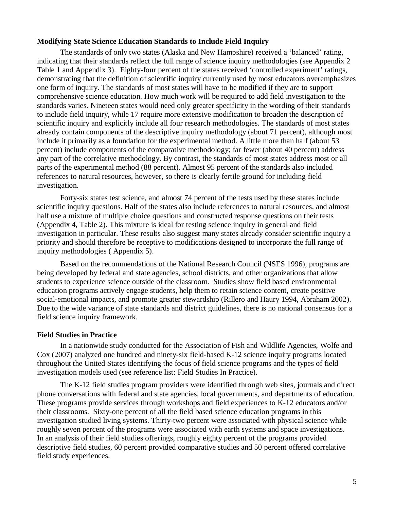#### **Modifying State Science Education Standards to Include Field Inquiry**

The standards of only two states (Alaska and New Hampshire) received a 'balanced' rating, indicating that their standards reflect the full range of science inquiry methodologies (see Appendix 2 Table 1 and Appendix 3). Eighty-four percent of the states received 'controlled experiment' ratings, demonstrating that the definition of scientific inquiry currently used by most educators overemphasizes one form of inquiry. The standards of most states will have to be modified if they are to support comprehensive science education. How much work will be required to add field investigation to the standards varies. Nineteen states would need only greater specificity in the wording of their standards to include field inquiry, while 17 require more extensive modification to broaden the description of scientific inquiry and explicitly include all four research methodologies. The standards of most states already contain components of the descriptive inquiry methodology (about 71 percent), although most include it primarily as a foundation for the experimental method. A little more than half (about 53 percent) include components of the comparative methodology; far fewer (about 40 percent) address any part of the correlative methodology. By contrast, the standards of most states address most or all parts of the experimental method (88 percent). Almost 95 percent of the standards also included references to natural resources, however, so there is clearly fertile ground for including field investigation.

Forty-six states test science, and almost 74 percent of the tests used by these states include scientific inquiry questions. Half of the states also include references to natural resources, and almost half use a mixture of multiple choice questions and constructed response questions on their tests (Appendix 4, Table 2). This mixture is ideal for testing science inquiry in general and field investigation in particular. These results also suggest many states already consider scientific inquiry a priority and should therefore be receptive to modifications designed to incorporate the full range of inquiry methodologies ( Appendix 5).

Based on the recommendations of the National Research Council (NSES 1996), programs are being developed by federal and state agencies, school districts, and other organizations that allow students to experience science outside of the classroom. Studies show field based environmental education programs actively engage students, help them to retain science content, create positive social-emotional impacts, and promote greater stewardship (Rillero and Haury 1994, Abraham 2002). Due to the wide variance of state standards and district guidelines, there is no national consensus for a field science inquiry framework.

#### **Field Studies in Practice**

In a nationwide study conducted for the Association of Fish and Wildlife Agencies, Wolfe and Cox (2007) analyzed one hundred and ninety-six field-based K-12 science inquiry programs located throughout the United States identifying the focus of field science programs and the types of field investigation models used (see reference list: Field Studies In Practice).

The K-12 field studies program providers were identified through web sites, journals and direct phone conversations with federal and state agencies, local governments, and departments of education. These programs provide services through workshops and field experiences to K-12 educators and/or their classrooms. Sixty-one percent of all the field based science education programs in this investigation studied living systems. Thirty-two percent were associated with physical science while roughly seven percent of the programs were associated with earth systems and space investigations. In an analysis of their field studies offerings, roughly eighty percent of the programs provided descriptive field studies, 60 percent provided comparative studies and 50 percent offered correlative field study experiences.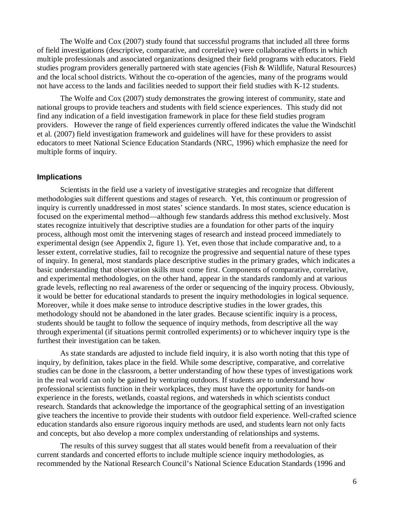The Wolfe and Cox (2007) study found that successful programs that included all three forms of field investigations (descriptive, comparative, and correlative) were collaborative efforts in which multiple professionals and associated organizations designed their field programs with educators. Field studies program providers generally partnered with state agencies (Fish & Wildlife, Natural Resources) and the local school districts. Without the co-operation of the agencies, many of the programs would not have access to the lands and facilities needed to support their field studies with K-12 students.

The Wolfe and Cox (2007) study demonstrates the growing interest of community, state and national groups to provide teachers and students with field science experiences. This study did not find any indication of a field investigation framework in place for these field studies program providers. However the range of field experiences currently offered indicates the value the Windschitl et al. (2007) field investigation framework and guidelines will have for these providers to assist educators to meet National Science Education Standards (NRC, 1996) which emphasize the need for multiple forms of inquiry.

# **Implications**

Scientists in the field use a variety of investigative strategies and recognize that different methodologies suit different questions and stages of research. Yet, this continuum or progression of inquiry is currently unaddressed in most states' science standards. In most states, science education is focused on the experimental method—although few standards address this method exclusively. Most states recognize intuitively that descriptive studies are a foundation for other parts of the inquiry process, although most omit the intervening stages of research and instead proceed immediately to experimental design (see Appendix 2, figure 1). Yet, even those that include comparative and, to a lesser extent, correlative studies, fail to recognize the progressive and sequential nature of these types of inquiry. In general, most standards place descriptive studies in the primary grades, which indicates a basic understanding that observation skills must come first. Components of comparative, correlative, and experimental methodologies, on the other hand, appear in the standards randomly and at various grade levels, reflecting no real awareness of the order or sequencing of the inquiry process. Obviously, it would be better for educational standards to present the inquiry methodologies in logical sequence. Moreover, while it does make sense to introduce descriptive studies in the lower grades, this methodology should not be abandoned in the later grades. Because scientific inquiry is a process, students should be taught to follow the sequence of inquiry methods, from descriptive all the way through experimental (if situations permit controlled experiments) or to whichever inquiry type is the furthest their investigation can be taken.

As state standards are adjusted to include field inquiry, it is also worth noting that this type of inquiry, by definition, takes place in the field. While some descriptive, comparative, and correlative studies can be done in the classroom, a better understanding of how these types of investigations work in the real world can only be gained by venturing outdoors. If students are to understand how professional scientists function in their workplaces, they must have the opportunity for hands-on experience in the forests, wetlands, coastal regions, and watersheds in which scientists conduct research. Standards that acknowledge the importance of the geographical setting of an investigation give teachers the incentive to provide their students with outdoor field experience. Well-crafted science education standards also ensure rigorous inquiry methods are used, and students learn not only facts and concepts, but also develop a more complex understanding of relationships and systems.

The results of this survey suggest that all states would benefit from a reevaluation of their current standards and concerted efforts to include multiple science inquiry methodologies, as recommended by the National Research Council's National Science Education Standards (1996 and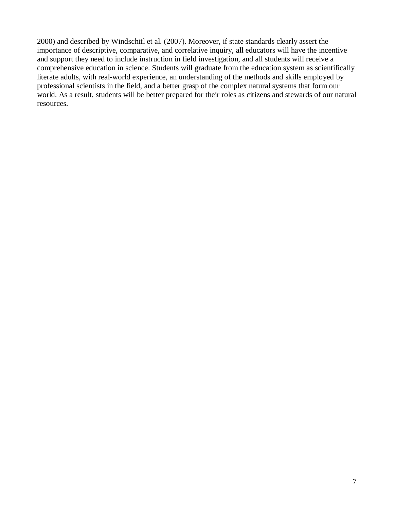2000) and described by Windschitl et al. (2007). Moreover, if state standards clearly assert the importance of descriptive, comparative, and correlative inquiry, all educators will have the incentive and support they need to include instruction in field investigation, and all students will receive a comprehensive education in science. Students will graduate from the education system as scientifically literate adults, with real-world experience, an understanding of the methods and skills employed by professional scientists in the field, and a better grasp of the complex natural systems that form our world. As a result, students will be better prepared for their roles as citizens and stewards of our natural resources.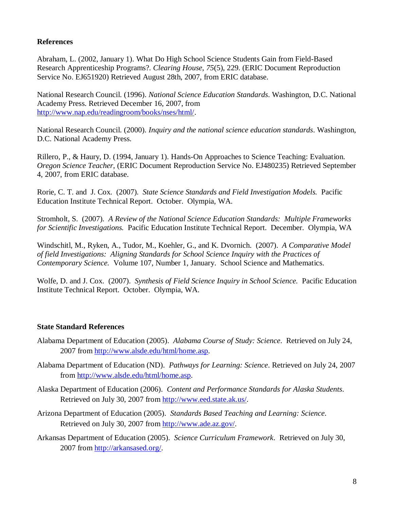# **References**

Abraham, L. (2002, January 1). What Do High School Science Students Gain from Field-Based Research Apprenticeship Programs?. *Clearing House*, *75*(5), 229. (ERIC Document Reproduction Service No. EJ651920) Retrieved August 28th, 2007, from ERIC database.

National Research Council. (1996). *National Science Education Standards*. Washington, D.C. National Academy Press. Retrieved December 16, 2007, from http://www.nap.edu/readingroom/books/nses/html/.

National Research Council. (2000). *Inquiry and the national science education standards*. Washington, D.C. National Academy Press.

Rillero, P., & Haury, D. (1994, January 1). Hands-On Approaches to Science Teaching: Evaluation. *Oregon Science Teacher*, (ERIC Document Reproduction Service No. EJ480235) Retrieved September 4, 2007, from ERIC database.

Rorie, C. T. and J. Cox. (2007). *State Science Standards and Field Investigation Models.* Pacific Education Institute Technical Report. October. Olympia, WA.

Stromholt, S. (2007). *A Review of the National Science Education Standards: Multiple Frameworks for Scientific Investigations.* Pacific Education Institute Technical Report. December. Olympia, WA

Windschitl, M., Ryken, A., Tudor, M., Koehler, G., and K. Dvornich. (2007). *A Comparative Model of field Investigations: Aligning Standards for School Science Inquiry with the Practices of Contemporary Science.* Volume 107, Number 1, January. School Science and Mathematics.

Wolfe, D. and J. Cox. (2007). *Synthesis of Field Science Inquiry in School Science.* Pacific Education Institute Technical Report. October. Olympia, WA.

# **State Standard References**

- Alabama Department of Education (2005). *Alabama Course of Study: Science*. Retrieved on July 24, 2007 from http://www.alsde.edu/html/home.asp.
- Alabama Department of Education (ND). *Pathways for Learning: Science*. Retrieved on July 24, 2007 from http://www.alsde.edu/html/home.asp.
- Alaska Department of Education (2006). *Content and Performance Standards for Alaska Students*. Retrieved on July 30, 2007 from http://www.eed.state.ak.us/.
- Arizona Department of Education (2005). *Standards Based Teaching and Learning: Science*. Retrieved on July 30, 2007 from http://www.ade.az.gov/.
- Arkansas Department of Education (2005). *Science Curriculum Framework*. Retrieved on July 30, 2007 from http://arkansased.org/.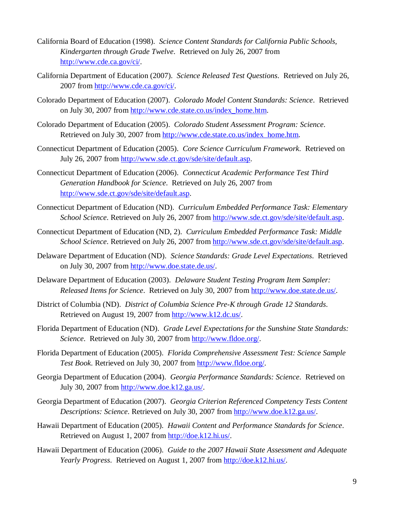- California Board of Education (1998). *Science Content Standards for California Public Schools, Kindergarten through Grade Twelve*. Retrieved on July 26, 2007 from http://www.cde.ca.gov/ci/.
- California Department of Education (2007). *Science Released Test Questions*. Retrieved on July 26, 2007 from http://www.cde.ca.gov/ci/.
- Colorado Department of Education (2007). *Colorado Model Content Standards: Science*. Retrieved on July 30, 2007 from http://www.cde.state.co.us/index\_home.htm.
- Colorado Department of Education (2005). *Colorado Student Assessment Program: Science*. Retrieved on July 30, 2007 from http://www.cde.state.co.us/index\_home.htm.
- Connecticut Department of Education (2005). *Core Science Curriculum Framework*. Retrieved on July 26, 2007 from http://www.sde.ct.gov/sde/site/default.asp.
- Connecticut Department of Education (2006). *Connecticut Academic Performance Test Third Generation Handbook for Science*. Retrieved on July 26, 2007 from http://www.sde.ct.gov/sde/site/default.asp.
- Connecticut Department of Education (ND). *Curriculum Embedded Performance Task: Elementary School Science*. Retrieved on July 26, 2007 from http://www.sde.ct.gov/sde/site/default.asp.
- Connecticut Department of Education (ND, 2). *Curriculum Embedded Performance Task: Middle School Science*. Retrieved on July 26, 2007 from http://www.sde.ct.gov/sde/site/default.asp.
- Delaware Department of Education (ND). *Science Standards: Grade Level Expectations*. Retrieved on July 30, 2007 from http://www.doe.state.de.us/.
- Delaware Department of Education (2003). *Delaware Student Testing Program Item Sampler: Released Items for Science*. Retrieved on July 30, 2007 from http://www.doe.state.de.us/.
- District of Columbia (ND). *District of Columbia Science Pre-K through Grade 12 Standards*. Retrieved on August 19, 2007 from http://www.k12.dc.us/.
- Florida Department of Education (ND). *Grade Level Expectations for the Sunshine State Standards: Science*. Retrieved on July 30, 2007 from http://www.fldoe.org/.
- Florida Department of Education (2005). *Florida Comprehensive Assessment Test: Science Sample Test Book*. Retrieved on July 30, 2007 from http://www.fldoe.org/.
- Georgia Department of Education (2004). *Georgia Performance Standards: Science*. Retrieved on July 30, 2007 from http://www.doe.k12.ga.us/.
- Georgia Department of Education (2007). *Georgia Criterion Referenced Competency Tests Content Descriptions: Science*. Retrieved on July 30, 2007 from http://www.doe.k12.ga.us/.
- Hawaii Department of Education (2005). *Hawaii Content and Performance Standards for Science*. Retrieved on August 1, 2007 from http://doe.k12.hi.us/.
- Hawaii Department of Education (2006). *Guide to the 2007 Hawaii State Assessment and Adequate Yearly Progress*. Retrieved on August 1, 2007 from http://doe.k12.hi.us/.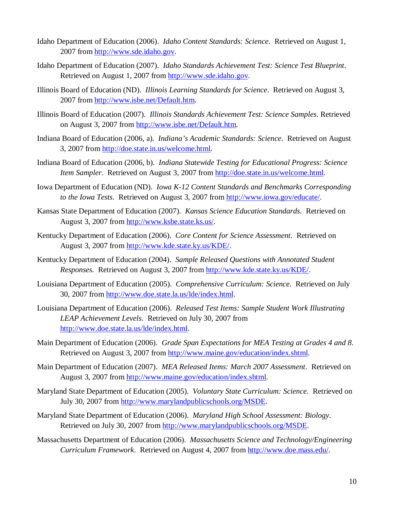- Idaho Department of Education (2006). *Idaho Content Standards: Science*. Retrieved on August 1, 2007 from http://www.sde.idaho.gov.
- Idaho Department of Education (2007). *Idaho Standards Achievement Test: Science Test Blueprint*. Retrieved on August 1, 2007 from http://www.sde.idaho.gov.
- Illinois Board of Education (ND). *Illinois Learning Standards for Science*. Retrieved on August 3, 2007 from http://www.isbe.net/Default.htm.
- Illinois Board of Education (2007). *Illinois Standards Achievement Test: Science Samples*. Retrieved on August 3, 2007 from http://www.isbe.net/Default.htm.
- Indiana Board of Education (2006, a). *Indiana's Academic Standards: Science*. Retrieved on August 3, 2007 from http://doe.state.in.us/welcome.html.
- Indiana Board of Education (2006, b). *Indiana Statewide Testing for Educational Progress: Science Item Sampler.* Retrieved on August 3, 2007 from http://doe.state.in.us/welcome.html.
- Iowa Department of Education (ND). *Iowa K-12 Content Standards and Benchmarks Corresponding to the Iowa Tests*. Retrieved on August 3, 2007 from http://www.iowa.gov/educate/.
- Kansas State Department of Education (2007). *Kansas Science Education Standards.* Retrieved on August 3, 2007 from http://www.ksbe.state.ks.us/.
- Kentucky Department of Education (2006). *Core Content for Science Assessment*. Retrieved on August 3, 2007 from http://www.kde.state.ky.us/KDE/.
- Kentucky Department of Education (2004). *Sample Released Questions with Annotated Student Responses.* Retrieved on August 3, 2007 from http://www.kde.state.ky.us/KDE/.
- Louisiana Department of Education (2005). *Comprehensive Curriculum: Science*. Retrieved on July 30, 2007 from http://www.doe.state.la.us/lde/index.html.
- Louisiana Department of Education (2006). *Released Test Items: Sample Student Work Illustrating LEAP Achievement Levels*. Retrieved on July 30, 2007 from http://www.doe.state.la.us/lde/index.html.
- Main Department of Education (2006). *Grade Span Expectations for MEA Testing at Grades 4 and 8*. Retrieved on August 3, 2007 from http://www.maine.gov/education/index.shtml.
- Main Department of Education (2007). *MEA Released Items: March 2007 Assessment*. Retrieved on August 3, 2007 from http://www.maine.gov/education/index.shtml.
- Maryland State Department of Education (2005). *Voluntary State Curriculum: Science.* Retrieved on July 30, 2007 from http://www.marylandpublicschools.org/MSDE.
- Maryland State Department of Education (2006). *Maryland High School Assessment: Biology*. Retrieved on July 30, 2007 from http://www.marylandpublicschools.org/MSDE.
- Massachusetts Department of Education (2006). *Massachusetts Science and Technology/Engineering Curriculum Framework*. Retrieved on August 4, 2007 from http://www.doe.mass.edu/.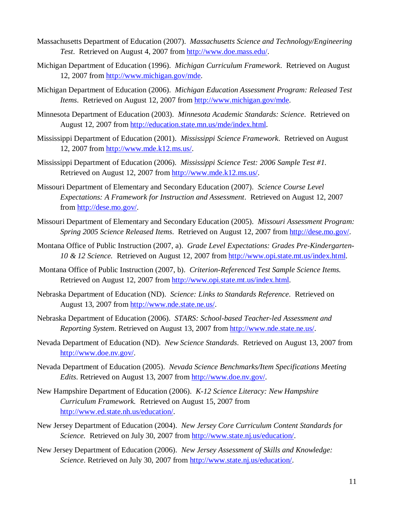- Massachusetts Department of Education (2007). *Massachusetts Science and Technology/Engineering Test*. Retrieved on August 4, 2007 from http://www.doe.mass.edu/.
- Michigan Department of Education (1996). *Michigan Curriculum Framework*. Retrieved on August 12, 2007 from http://www.michigan.gov/mde.
- Michigan Department of Education (2006). *Michigan Education Assessment Program: Released Test Items*. Retrieved on August 12, 2007 from http://www.michigan.gov/mde.
- Minnesota Department of Education (2003). *Minnesota Academic Standards: Science*. Retrieved on August 12, 2007 from http://education.state.mn.us/mde/index.html.
- Mississippi Department of Education (2001). *Mississippi Science Framework*. Retrieved on August 12, 2007 from http://www.mde.k12.ms.us/.
- Mississippi Department of Education (2006). *Mississippi Science Test: 2006 Sample Test #1*. Retrieved on August 12, 2007 from http://www.mde.k12.ms.us/.
- Missouri Department of Elementary and Secondary Education (2007). *Science Course Level Expectations: A Framework for Instruction and Assessment*. Retrieved on August 12, 2007 from http://dese.mo.gov/.
- Missouri Department of Elementary and Secondary Education (2005). *Missouri Assessment Program: Spring 2005 Science Released Items*. Retrieved on August 12, 2007 from http://dese.mo.gov/.
- Montana Office of Public Instruction (2007, a). *Grade Level Expectations: Grades Pre-Kindergarten-10 & 12 Science.* Retrieved on August 12, 2007 from http://www.opi.state.mt.us/index.html.
- Montana Office of Public Instruction (2007, b). *Criterion-Referenced Test Sample Science Items.*  Retrieved on August 12, 2007 from http://www.opi.state.mt.us/index.html.
- Nebraska Department of Education (ND). *Science: Links to Standards Reference*. Retrieved on August 13, 2007 from http://www.nde.state.ne.us/.
- Nebraska Department of Education (2006). *STARS: School-based Teacher-led Assessment and Reporting System*. Retrieved on August 13, 2007 from http://www.nde.state.ne.us/.
- Nevada Department of Education (ND). *New Science Standards*. Retrieved on August 13, 2007 from http://www.doe.nv.gov/.
- Nevada Department of Education (2005). *Nevada Science Benchmarks/Item Specifications Meeting Edits*. Retrieved on August 13, 2007 from http://www.doe.nv.gov/.
- New Hampshire Department of Education (2006). *K-12 Science Literacy: New Hampshire Curriculum Framework.* Retrieved on August 15, 2007 from http://www.ed.state.nh.us/education/.
- New Jersey Department of Education (2004). *New Jersey Core Curriculum Content Standards for Science.* Retrieved on July 30, 2007 from http://www.state.nj.us/education/.
- New Jersey Department of Education (2006). *New Jersey Assessment of Skills and Knowledge: Science*. Retrieved on July 30, 2007 from http://www.state.nj.us/education/.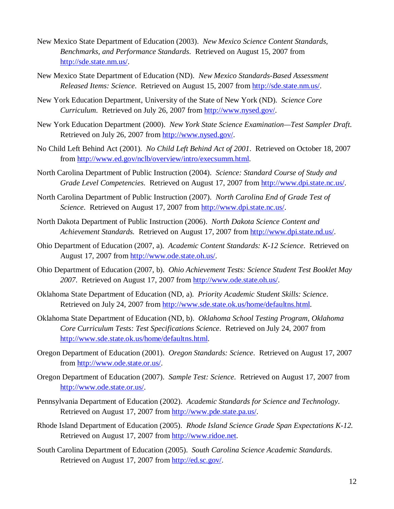- New Mexico State Department of Education (2003). *New Mexico Science Content Standards, Benchmarks, and Performance Standards*. Retrieved on August 15, 2007 from http://sde.state.nm.us/.
- New Mexico State Department of Education (ND). *New Mexico Standards-Based Assessment Released Items: Science*. Retrieved on August 15, 2007 from http://sde.state.nm.us/.
- New York Education Department, University of the State of New York (ND). *Science Core Curriculum*. Retrieved on July 26, 2007 from http://www.nysed.gov/.
- New York Education Department (2000). *New York State Science Examination—Test Sampler Draft*. Retrieved on July 26, 2007 from http://www.nysed.gov/.
- No Child Left Behind Act (2001). *No Child Left Behind Act of 2001*. Retrieved on October 18, 2007 from http://www.ed.gov/nclb/overview/intro/execsumm.html.
- North Carolina Department of Public Instruction (2004). *Science: Standard Course of Study and Grade Level Competencies*. Retrieved on August 17, 2007 from http://www.dpi.state.nc.us/.
- North Carolina Department of Public Instruction (2007). *North Carolina End of Grade Test of Science*. Retrieved on August 17, 2007 from http://www.dpi.state.nc.us/.
- North Dakota Department of Public Instruction (2006). *North Dakota Science Content and Achievement Standards.* Retrieved on August 17, 2007 from http://www.dpi.state.nd.us/.
- Ohio Department of Education (2007, a). *Academic Content Standards: K-12 Science*. Retrieved on August 17, 2007 from http://www.ode.state.oh.us/.
- Ohio Department of Education (2007, b). *Ohio Achievement Tests: Science Student Test Booklet May 2007*. Retrieved on August 17, 2007 from http://www.ode.state.oh.us/.
- Oklahoma State Department of Education (ND, a). *Priority Academic Student Skills: Science*. Retrieved on July 24, 2007 from http://www.sde.state.ok.us/home/defaultns.html.
- Oklahoma State Department of Education (ND, b). *Oklahoma School Testing Program, Oklahoma Core Curriculum Tests: Test Specifications Science*. Retrieved on July 24, 2007 from http://www.sde.state.ok.us/home/defaultns.html.
- Oregon Department of Education (2001). *Oregon Standards: Science*. Retrieved on August 17, 2007 from http://www.ode.state.or.us/.
- Oregon Department of Education (2007). *Sample Test: Science*. Retrieved on August 17, 2007 from http://www.ode.state.or.us/.
- Pennsylvania Department of Education (2002). *Academic Standards for Science and Technology*. Retrieved on August 17, 2007 from http://www.pde.state.pa.us/.
- Rhode Island Department of Education (2005). *Rhode Island Science Grade Span Expectations K-12*. Retrieved on August 17, 2007 from http://www.ridoe.net.
- South Carolina Department of Education (2005). *South Carolina Science Academic Standards*. Retrieved on August 17, 2007 from http://ed.sc.gov/.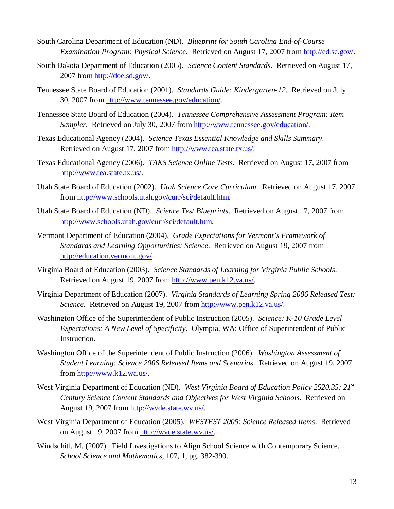- South Carolina Department of Education (ND). *Blueprint for South Carolina End-of-Course Examination Program: Physical Science*. Retrieved on August 17, 2007 from http://ed.sc.gov/.
- South Dakota Department of Education (2005). *Science Content Standards*. Retrieved on August 17, 2007 from http://doe.sd.gov/.
- Tennessee State Board of Education (2001). *Standards Guide: Kindergarten-12*. Retrieved on July 30, 2007 from http://www.tennessee.gov/education/.
- Tennessee State Board of Education (2004). *Tennessee Comprehensive Assessment Program: Item Sampler*. Retrieved on July 30, 2007 from http://www.tennessee.gov/education/.
- Texas Educational Agency (2004). *Science Texas Essential Knowledge and Skills Summary*. Retrieved on August 17, 2007 from http://www.tea.state.tx.us/.
- Texas Educational Agency (2006). *TAKS Science Online Tests*. Retrieved on August 17, 2007 from http://www.tea.state.tx.us/.
- Utah State Board of Education (2002). *Utah Science Core Curriculum*. Retrieved on August 17, 2007 from http://www.schools.utah.gov/curr/sci/default.htm.
- Utah State Board of Education (ND). *Science Test Blueprints*. Retrieved on August 17, 2007 from http://www.schools.utah.gov/curr/sci/default.htm.
- Vermont Department of Education (2004). *Grade Expectations for Vermont's Framework of Standards and Learning Opportunities: Science*. Retrieved on August 19, 2007 from http://education.vermont.gov/.
- Virginia Board of Education (2003). *Science Standards of Learning for Virginia Public Schools*. Retrieved on August 19, 2007 from http://www.pen.k12.va.us/.
- Virginia Department of Education (2007). *Virginia Standards of Learning Spring 2006 Released Test: Science*. Retrieved on August 19, 2007 from http://www.pen.k12.va.us/.
- Washington Office of the Superintendent of Public Instruction (2005). *Science: K-10 Grade Level Expectations: A New Level of Specificity*. Olympia, WA: Office of Superintendent of Public Instruction.
- Washington Office of the Superintendent of Public Instruction (2006). *Washington Assessment of Student Learning: Science 2006 Released Items and Scenarios*. Retrieved on August 19, 2007 from http://www.k12.wa.us/.
- West Virginia Department of Education (ND). *West Virginia Board of Education Policy 2520.35: 21st Century Science Content Standards and Objectives for West Virginia Schools*. Retrieved on August 19, 2007 from http://wvde.state.wv.us/.
- West Virginia Department of Education (2005). *WESTEST 2005: Science Released Items*. Retrieved on August 19, 2007 from http://wvde.state.wv.us/.
- Windschitl, M. (2007). Field Investigations to Align School Science with Contemporary Science. *School Science and Mathematics*, 107, 1, pg. 382-390.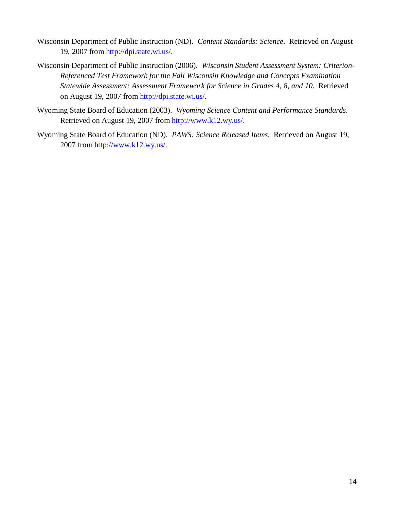- Wisconsin Department of Public Instruction (ND). *Content Standards: Science*. Retrieved on August 19, 2007 from http://dpi.state.wi.us/.
- Wisconsin Department of Public Instruction (2006). *Wisconsin Student Assessment System: Criterion-Referenced Test Framework for the Fall Wisconsin Knowledge and Concepts Examination Statewide Assessment: Assessment Framework for Science in Grades 4, 8, and 10*. Retrieved on August 19, 2007 from http://dpi.state.wi.us/.
- Wyoming State Board of Education (2003). *Wyoming Science Content and Performance Standards*. Retrieved on August 19, 2007 from http://www.k12.wy.us/.
- Wyoming State Board of Education (ND). *PAWS: Science Released Items*. Retrieved on August 19, 2007 from http://www.k12.wy.us/.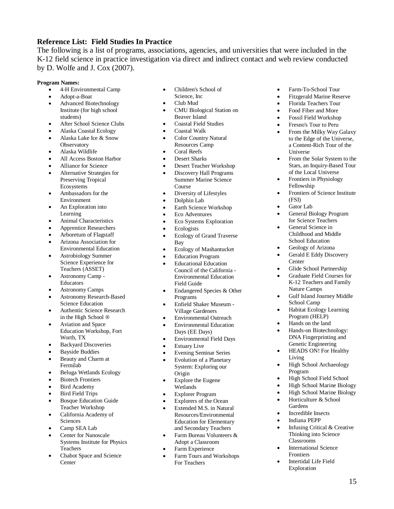# **Reference List: Field Studies In Practice**

The following is a list of programs, associations, agencies, and universities that were included in the K-12 field science in practice investigation via direct and indirect contact and web review conducted by D. Wolfe and J. Cox (2007).

#### **Program Names:**

- 4-H Environmental Camp
- Adopt-a-Boat
- Advanced Biotechnology Institute (for high school students)
- After School Science Clubs
- Alaska Coastal Ecology
- Alaska Lake Ice & Snow **Observatory**
- Alaska Wildlife
- All Access Boston Harbor
- Alliance for Science Alternative Strategies for
- Preserving Tropical Ecosystems
- Ambassadors for the Environment
- An Exploration into Learning
- Animal Characteristics
- Apprentice Researchers
- Arboretum of Flagstaff
- Arizona Association for Environmental Education
- Astrobiology Summer Science Experience for Teachers (ASSET)
- Astronomy Camp Educators
- Astronomy Camps
- Astronomy Research-Based Science Education
- Authentic Science Research in the High School ®
- Aviation and Space Education Workshop, Fort Worth, TX
- Backyard Discoveries
- Bayside Buddies
- Beauty and Charm at Fermilab
- Beluga Wetlands Ecology
- Biotech Frontiers
- Bird Academy
- Bird Field Trips
- Bosque Education Guide Teacher Workshop
- California Academy of Sciences
- Camp SEA Lab
- Center for Nanoscale Systems Institute for Physics Teachers
- Chabot Space and Science **Center**
- Children's School of
- Science, Inc
- Club Mud
- CMU Biological Station on Beaver Island
- Coastal Field Studies
- Coastal Walk
- Color Country Natural Resources Camp
- Coral Reefs
- Desert Sharks
- Desert Teacher Workshop
- Discovery Hall Programs Summer Marine Science Course
- Diversity of Lifestyles
- Dolphin Lab
- Earth Science Workshop
- Eco Adventures
- Eco Systems Exploration
- Ecologists
- Ecology of Grand Traverse Bay
- Ecology of Mashantucket
- Education Program
- Educational Education Council of the California - Environmental Education Field Guide
- Endangered Species & Other Programs
- Enfield Shaker Museum Village Gardeners
- Environmental Outreach
- Environmental Education Days (EE Days)
- Environmental Field Days
- Estuary Live
- Evening Seminar Series
- Evolution of a Planetary System: Exploring our Origin
- Explore the Eugene Wetlands
- Explorer Program
- Explorers of the Ocean
- Extended M.S. in Natural Resources/Environmental Education for Elementary and Secondary Teachers
- Farm Bureau Volunteers & Adopt a Classroom
- Farm Experience
- Farm Tours and Workshops For Teachers
- Farm-To-School Tour
- Fitzgerald Marine Reserve
- Florida Teachers Tour
- Food Fiber and More
- Fossil Field Workshop
- Fresno's Tour to Peru
- From the Milky Way Galaxy to the Edge of the Universe, a Content-Rich Tour of the Universe
- From the Solar System to the Stars, an Inquiry-Based Tour of the Local Universe
- Frontiers in Physiology Fellowship
- Frontiers of Science Institute (FSI)
- Gator Lab
- General Biology Program for Science Teachers
- General Science in Childhood and Middle School Education
- Geology of Arizona
- Gerald E Eddy Discovery **Center**
- Glide School Partnership
- Graduate Field Courses for K-12 Teachers and Family Nature Camps
- Gulf Island Journey Middle School Camp
- Habitat Ecology Learning Program (HELP)
- Hands on the land
- Hands-on Biotechnology: DNA Fingerprinting and Genetic Engineering
- HEADS ON! For Healthy Living
- High School Archaeology Program
- High School Field School
- High School Marine Biology

 Infusing Critical & Creative Thinking into Science

15

High School Marine Biology

International Science

 Intertidal Life Field Exploration

 Horticulture & School **Gardens** Incredible Insects

Indiana PEPP

Classrooms

Frontiers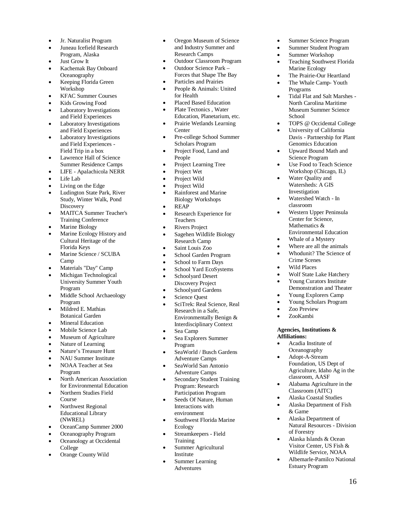- Jr. Naturalist Program
- Juneau Icefield Research Program, Alaska
- Just Grow It
- Kachemak Bay Onboard **Oceanography**
- Keeping Florida Green Workshop
- KFAC Summer Courses
- Kids Growing Food Laboratory Investigations
- and Field Experiences • Laboratory Investigations and Field Experiences
- Laboratory Investigations and Field Experiences - Field Trip in a box
- Lawrence Hall of Science Summer Residence Camps
- LIFE Apalachicola NERR
- Life Lab
- Living on the Edge
- Ludington State Park, River Study, Winter Walk, Pond **Discovery**
- MAITCA Summer Teacher's Training Conference
- Marine Biology
- Marine Ecology History and Cultural Heritage of the Florida Keys
- Marine Science / SCUBA Camp
- Materials "Day" Camp
- Michigan Technological University Summer Youth Program
- Middle School Archaeology Program
- Mildred E. Mathias Botanical Garden
- Mineral Education
- Mobile Science Lab
- Museum of Agriculture
- Nature of Learning
- Nature's Treasure Hunt
- NAU Summer Institute
- NOAA Teacher at Sea Program
- North American Association for Environmental Education
- Northern Studies Field Course
- Northwest Regional Educational Library (NWREL)
- OceanCamp Summer 2000
- Oceanography Program
- Oceanology at Occidental College
- Orange County Wild
- Oregon Museum of Science and Industry Summer and Research Camps
- Outdoor Classroom Program
- Outdoor Science Park –
- Forces that Shape The Bay
- Particles and Prairies
- People & Animals: United for Health
- Placed Based Education
- Plate Tectonics , Water Education, Planetarium, etc.
- Prairie Wetlands Learning **Center**
- Pre-college School Summer Scholars Program
- Project Food, Land and People
- Project Learning Tree
- Project Wet
- Project Wild
- Project Wild
- Rainforest and Marine Biology Workshops
- REAP
- Research Experience for Teachers
- Rivers Project
- Sagehen Wildlife Biology Research Camp
- Saint Louis Zoo
- School Garden Program
- School to Farm Days
- School Yard EcoSystems
- Schoolyard Desert Discovery Project
- Schoolyard Gardens
- Science Quest
- SciTrek: Real Science, Real Research in a Safe, Environmentally Benign & Interdisciplinary Context
- Sea Camp
- Sea Explorers Summer Program
- SeaWorld / Busch Gardens Adventure Camps
- SeaWorld San Antonio Adventure Camps
- Secondary Student Training Program: Research Participation Program
- Seeds Of Nature, Human Interactions with environment
- Southwest Florida Marine Ecology
- Streamkeepers Field **Training**
- Summer Agricultural Institute
	- Summer Learning Adventures
- Summer Science Program
- Summer Student Program
- Summer Workshop
- Teaching Southwest Florida Marine Ecology
- The Prairie-Our Heartland
- The Whale Camp-Youth Programs
- Tidal Flat and Salt Marshes North Carolina Maritime Museum Summer Science School
- TOPS @ Occidental College
- University of California Davis - Partnership for Plant Genomics Education
- Upward Bound Math and Science Program
- Use Food to Teach Science Workshop (Chicago, IL)
- Water Quality and Watersheds: A GIS Investigation
- Watershed Watch In classroom
- Western Upper Peninsula Center for Science, Mathematics & Environmental Education
- Whale of a Mystery
- Where are all the animals
- Whodunit? The Science of Crime Scenes
- Wild Places
- Wolf State Lake Hatchery
- Young Curators Institute Demonstration and Theater
- Young Explorers Camp
- Young Scholars Program
- Zoo Preview
- ZooKambi

#### **Agencies, Institutions & Affiliations:**

 Acadia Institute of **Oceanography** • Adopt-A-Stream

Foundation, US Dept of Agriculture, Idaho Ag in the

 Alabama Agriculture in the Classroom (AITC) Alaska Coastal Studies Alaska Department of Fish

 Alaska Department of Natural Resources - Division

 Alaska Islands & Ocean Visitor Center, US Fish & Wildlife Service, NOAA • Albemarle-Pamilco National Estuary Program

classroom, AASF

& Game

of Forestry

16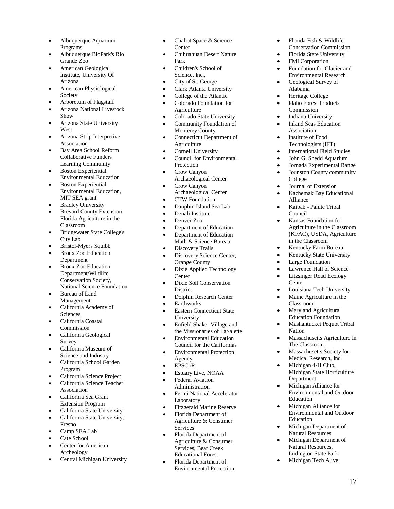- Albuquerque Aquarium Programs
- Albuquerque BioPark's Rio Grande Zoo
- American Geological Institute, University Of Arizona
- American Physiological Society
- Arboretum of Flagstaff
- Arizona National Livestock Show
- Arizona State University **West**
- Arizona Strip Interpretive **Association**
- Bay Area School Reform Collaborative Funders Learning Community
- Boston Experiential Environmental Education
- Boston Experiential Environmental Education, MIT SEA grant
- Bradley University
- Brevard County Extension, Florida Agriculture in the Classroom
- Bridgewater State College's City Lab
- Bristol-Myers Squibb
- Bronx Zoo Education Department
- Bronx Zoo Education Department/Wildlife Conservation Society, National Science Foundation
- Bureau of Land Management
- California Academy of Sciences
- California Coastal Commission
- California Geological Survey
- California Museum of Science and Industry
- California School Garden Program
- California Science Project
- California Science Teacher Association
- California Sea Grant Extension Program
- California State University
- California State University, Fresno
- Camp SEA Lab
- Cate School
- Center for American Archeology
- Central Michigan University
- Chabot Space & Science **Center**
- Chihuahuan Desert Nature Park
- Children's School of Science, Inc.,
- City of St. George
- Clark Atlanta University
- College of the Atlantic
- Colorado Foundation for Agriculture
- Colorado State University
- Community Foundation of Monterey County
- Connecticut Department of **Agriculture**
- Cornell University
- Council for Environmental Protection
- Crow Canyon Archaeological Center
- Crow Canyon
- Archaeological Center
- CTW Foundation
- Dauphin Island Sea Lab
- Denali Institute
- Denver Zoo
- Department of Education
- Department of Education Math & Science Bureau
- Discovery Trails
- Discovery Science Center, Orange County
- Dixie Applied Technology **Center**
- Dixie Soil Conservation **District**
- Dolphin Research Center
- Earthworks
- Eastern Connecticut State University
- Enfield Shaker Village and the Missionaries of LaSalette
- **•** Environmental Education Council for the Californias
- Environmental Protection Agency
- EPSCoR
- Estuary Live, NOAA
- Federal Aviation Administration
- Fermi National Accelerator Laboratory
- Fitzgerald Marine Reserve
- Florida Department of Agriculture & Consumer Services
- Florida Department of Agriculture & Consumer Services, Bear Creek Educational Forest
- Florida Department of Environmental Protection
- Florida Fish & Wildlife Conservation Commission
- Florida State University
- FMI Corporation
- Foundation for Glacier and Environmental Research
- Geological Survey of Alabama
- Heritage College
- Idaho Forest Products Commission
- Indiana University
- Inland Seas Education Association
- Institute of Food Technologists (IFT)
- International Field Studies
- John G. Shedd Aquarium
- Jornada Experimental Range Jounston County community
	- College
- Journal of Extension
- Kachemak Bay Educational Alliance
- Kaibab Paiute Tribal Council
- Kansas Foundation for Agriculture in the Classroom (KFAC), USDA, Agriculture in the Classroom
- Kentucky Farm Bureau
- Kentucky State University
- Large Foundation
- Lawrence Hall of Science
- Litzsinger Road Ecology **Center**
- Louisiana Tech University
- Maine Agriculture in the Classroom
- Maryland Agricultural Education Foundation
- Mashantucket Pequot Tribal Nation
- Massachusetts Agriculture In The Classroom

Michigan State Horticulture

17

 Massachusetts Society for Medical Research, Inc.

> Michigan Alliance for Environmental and Outdoor

> Michigan Alliance for Environmental and Outdoor

 Michigan Department of Natural Resources Michigan Department of Natural Resources, Ludington State Park Michigan Tech Alive

• Michigan 4-H Club,

Department

Education

Education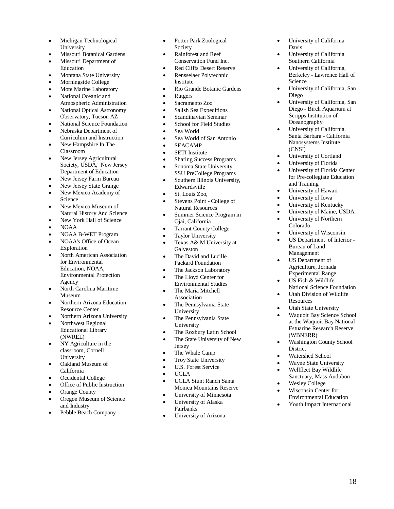- Michigan Technological University
- Missouri Botanical Gardens
- Missouri Department of Education
- Montana State University
- Morningside College
- Mote Marine Laboratory National Oceanic and
- Atmospheric Administration
- National Optical Astronomy Observatory, Tucson AZ
- National Science Foundation Nebraska Department of
- Curriculum and Instruction • New Hampshire In The
- Classroom New Jersey Agricultural
- Society, USDA, New Jersey Department of Education
- New Jersey Farm Bureau
- New Jersey State Grange
- New Mexico Academy of Science
- New Mexico Museum of Natural History And Science
- New York Hall of Science
- NOAA
- NOAA B-WET Program
- NOAA's Office of Ocean Exploration
- North American Association for Environmental Education, NOAA, Environmental Protection Agency
- North Carolina Maritime Museum
- Northern Arizona Education Resource Center
- Northern Arizona University
- Northwest Regional Educational Library (NWREL)
- NY Agriculture in the classroom, Cornell University
- Oakland Museum of California
- Occidental College
- Office of Public Instruction
- Orange County
- Oregon Museum of Science and Industry
- Pebble Beach Company
- Potter Park Zoological Society
- Rainforest and Reef Conservation Fund Inc.
- Red Cliffs Desert Reserve
- Rensselaer Polytechnic Institute
- Rio Grande Botanic Gardens
- Rutgers
- Sacramento Zoo
- Salish Sea Expeditions
- Scandinavian Seminar
- School for Field Studies
- Sea World
- Sea World of San Antonio
- SEACAMP
- SETI Institute
- Sharing Success Programs
- Sonoma State University SSU PreCollege Programs
- Southern Illinois University, Edwardsville
- St. Louis Zoo,
- Stevens Point College of Natural Resources
- Summer Science Program in Ojai, California
- Tarrant County College
- Taylor University
- Texas A& M University at Galveston
- The David and Lucille Packard Foundation
- The Jackson Laboratory
- The Lloyd Center for Environmental Studies
- The Maria Mitchell Association
- The Pennsylvania State University
- The Pennsylvania State University
- The Roxbury Latin School
- The State University of New Jersey
- The Whale Camp
- Troy State University
- U.S. Forest Service
- $\bullet$  UCLA
- UCLA Stunt Ranch Santa Monica Mountains Reserve
- University of Minnesota
- University of Alaska Fairbanks
- University of Arizona
- University of California Davis
- University of California Southern California
- University of California, Berkeley - Lawrence Hall of **Science**
- University of California, San Diego
- University of California, San Diego - Birch Aquarium at Scripps Institution of **Oceanography**
- University of California, Santa Barbara - California Nanosystems Institute (CNSI)
- University of Cortland
- University of Florida
- University of Florida Center for Pre -collegiate Education and Training
- University of Hawaii
- University of Iowa
- University of Kentucky
- University of Maine, USDA
- University of Northern Colorado
- University of Wisconsin
- US Department of Interior Bureau of Land Management
- US Department of Agriculture, Jornada Experimental Range
- US Fish & Wildlife, National Science Foundation
- Utah Division of Wildlife Resources
- Utah State University
- Waquoit Bay Science School at the Waquoit Bay National Estuarine Research Reserve (WBNERR)
- Washington County School **District**
- Watershed School
- Wayne State University
- Wellfleet Bay Wildlife Sanctuary, Mass Audubon
- Wesley College
- Wisconsin Center for Environmental Education
- Youth Impact International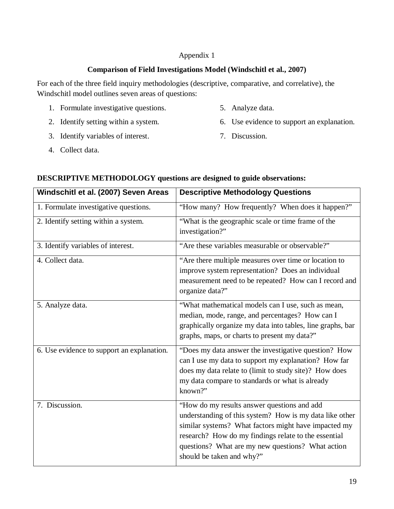# **Comparison of Field Investigations Model (Windschitl et al., 2007)**

For each of the three field inquiry methodologies (descriptive, comparative, and correlative), the Windschitl model outlines seven areas of questions:

- 1. Formulate investigative questions.
- 2. Identify setting within a system.
- 3. Identify variables of interest.
- 5. Analyze data.
- 6. Use evidence to support an explanation.
- 7. Discussion.

4. Collect data.

| Windschitl et al. (2007) Seven Areas       | <b>Descriptive Methodology Questions</b>                                                                                                                                                                                                                                                                 |
|--------------------------------------------|----------------------------------------------------------------------------------------------------------------------------------------------------------------------------------------------------------------------------------------------------------------------------------------------------------|
| 1. Formulate investigative questions.      | "How many? How frequently? When does it happen?"                                                                                                                                                                                                                                                         |
| 2. Identify setting within a system.       | "What is the geographic scale or time frame of the<br>investigation?"                                                                                                                                                                                                                                    |
| 3. Identify variables of interest.         | "Are these variables measurable or observable?"                                                                                                                                                                                                                                                          |
| 4. Collect data.                           | "Are there multiple measures over time or location to<br>improve system representation? Does an individual<br>measurement need to be repeated? How can I record and<br>organize data?"                                                                                                                   |
| 5. Analyze data.                           | "What mathematical models can I use, such as mean,<br>median, mode, range, and percentages? How can I<br>graphically organize my data into tables, line graphs, bar<br>graphs, maps, or charts to present my data?"                                                                                      |
| 6. Use evidence to support an explanation. | "Does my data answer the investigative question? How<br>can I use my data to support my explanation? How far<br>does my data relate to (limit to study site)? How does<br>my data compare to standards or what is already<br>known?"                                                                     |
| 7. Discussion.                             | "How do my results answer questions and add<br>understanding of this system? How is my data like other<br>similar systems? What factors might have impacted my<br>research? How do my findings relate to the essential<br>questions? What are my new questions? What action<br>should be taken and why?" |

# **DESCRIPTIVE METHODOLOGY questions are designed to guide observations:**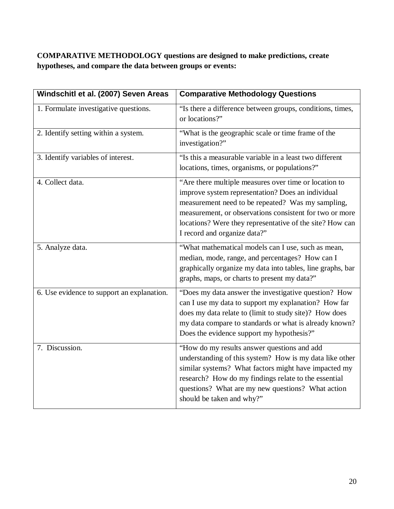# **COMPARATIVE METHODOLOGY questions are designed to make predictions, create hypotheses, and compare the data between groups or events:**

| Windschitl et al. (2007) Seven Areas       | <b>Comparative Methodology Questions</b>                                                                                                                                                                                                                                                                               |
|--------------------------------------------|------------------------------------------------------------------------------------------------------------------------------------------------------------------------------------------------------------------------------------------------------------------------------------------------------------------------|
| 1. Formulate investigative questions.      | "Is there a difference between groups, conditions, times,<br>or locations?"                                                                                                                                                                                                                                            |
| 2. Identify setting within a system.       | "What is the geographic scale or time frame of the<br>investigation?"                                                                                                                                                                                                                                                  |
| 3. Identify variables of interest.         | "Is this a measurable variable in a least two different<br>locations, times, organisms, or populations?"                                                                                                                                                                                                               |
| 4. Collect data.                           | "Are there multiple measures over time or location to<br>improve system representation? Does an individual<br>measurement need to be repeated? Was my sampling,<br>measurement, or observations consistent for two or more<br>locations? Were they representative of the site? How can<br>I record and organize data?" |
| 5. Analyze data.                           | "What mathematical models can I use, such as mean,<br>median, mode, range, and percentages? How can I<br>graphically organize my data into tables, line graphs, bar<br>graphs, maps, or charts to present my data?"                                                                                                    |
| 6. Use evidence to support an explanation. | "Does my data answer the investigative question? How<br>can I use my data to support my explanation? How far<br>does my data relate to (limit to study site)? How does<br>my data compare to standards or what is already known?<br>Does the evidence support my hypothesis?"                                          |
| 7. Discussion.                             | "How do my results answer questions and add<br>understanding of this system? How is my data like other<br>similar systems? What factors might have impacted my<br>research? How do my findings relate to the essential<br>questions? What are my new questions? What action<br>should be taken and why?"               |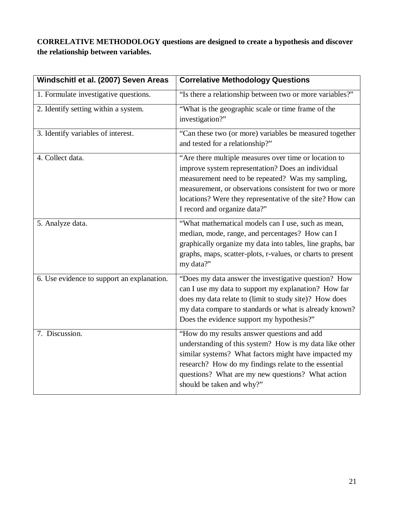**CORRELATIVE METHODOLOGY questions are designed to create a hypothesis and discover the relationship between variables.** 

| Windschitl et al. (2007) Seven Areas       | <b>Correlative Methodology Questions</b>                                                                                                                                                                                                                                                                               |
|--------------------------------------------|------------------------------------------------------------------------------------------------------------------------------------------------------------------------------------------------------------------------------------------------------------------------------------------------------------------------|
| 1. Formulate investigative questions.      | "Is there a relationship between two or more variables?"                                                                                                                                                                                                                                                               |
| 2. Identify setting within a system.       | "What is the geographic scale or time frame of the<br>investigation?"                                                                                                                                                                                                                                                  |
| 3. Identify variables of interest.         | "Can these two (or more) variables be measured together<br>and tested for a relationship?"                                                                                                                                                                                                                             |
| 4. Collect data.                           | "Are there multiple measures over time or location to<br>improve system representation? Does an individual<br>measurement need to be repeated? Was my sampling,<br>measurement, or observations consistent for two or more<br>locations? Were they representative of the site? How can<br>I record and organize data?" |
| 5. Analyze data.                           | "What mathematical models can I use, such as mean,<br>median, mode, range, and percentages? How can I<br>graphically organize my data into tables, line graphs, bar<br>graphs, maps, scatter-plots, r-values, or charts to present<br>my data?"                                                                        |
| 6. Use evidence to support an explanation. | "Does my data answer the investigative question? How<br>can I use my data to support my explanation? How far<br>does my data relate to (limit to study site)? How does<br>my data compare to standards or what is already known?<br>Does the evidence support my hypothesis?"                                          |
| 7. Discussion.                             | "How do my results answer questions and add<br>understanding of this system? How is my data like other<br>similar systems? What factors might have impacted my<br>research? How do my findings relate to the essential<br>questions? What are my new questions? What action<br>should be taken and why?"               |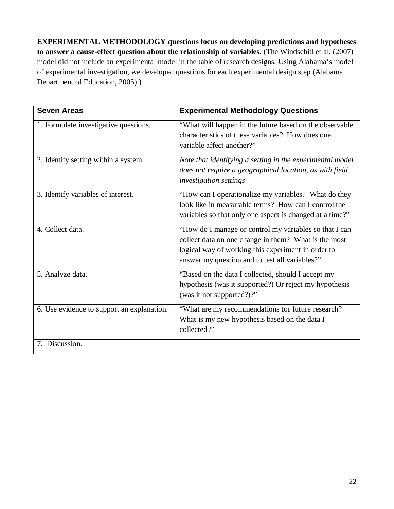**EXPERIMENTAL METHODOLOGY questions focus on developing predictions and hypotheses to answer a cause-effect question about the relationship of variables.** (The Windschitl et al. (2007) model did not include an experimental model in the table of research designs. Using Alabama's model of experimental investigation, we developed questions for each experimental design step (Alabama Department of Education, 2005).)

| <b>Seven Areas</b>                         | <b>Experimental Methodology Questions</b>                                                                                                                                                                              |
|--------------------------------------------|------------------------------------------------------------------------------------------------------------------------------------------------------------------------------------------------------------------------|
| 1. Formulate investigative questions.      | "What will happen in the future based on the observable"<br>characteristics of these variables? How does one<br>variable affect another?"                                                                              |
| 2. Identify setting within a system.       | Note that identifying a setting in the experimental model<br>does not require a geographical location, as with field<br><i>investigation settings</i>                                                                  |
| 3. Identify variables of interest.         | "How can I operationalize my variables? What do they<br>look like in measurable terms? How can I control the<br>variables so that only one aspect is changed at a time?"                                               |
| 4. Collect data.                           | "How do I manage or control my variables so that I can<br>collect data on one change in them? What is the most<br>logical way of working this experiment in order to<br>answer my question and to test all variables?" |
| 5. Analyze data.                           | "Based on the data I collected, should I accept my<br>hypothesis (was it supported?) Or reject my hypothesis<br>(was it not supported?)?"                                                                              |
| 6. Use evidence to support an explanation. | "What are my recommendations for future research?<br>What is my new hypothesis based on the data I<br>collected?"                                                                                                      |
| 7. Discussion.                             |                                                                                                                                                                                                                        |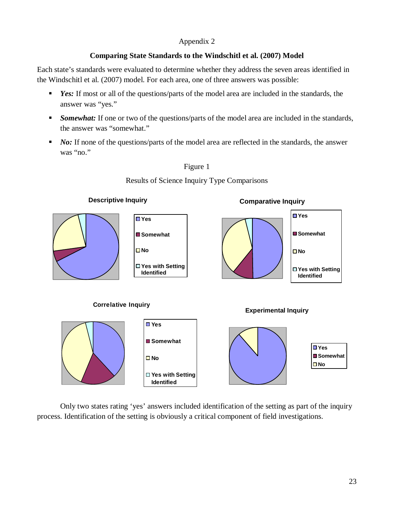# **Comparing State Standards to the Windschitl et al. (2007) Model**

Each state's standards were evaluated to determine whether they address the seven areas identified in the Windschitl et al. (2007) model. For each area, one of three answers was possible:

- *Yes:* If most or all of the questions/parts of the model area are included in the standards, the answer was "yes."
- **Somewhat:** If one or two of the questions/parts of the model area are included in the standards, the answer was "somewhat."
- *No:* If none of the questions/parts of the model area are reflected in the standards, the answer was "no."



Only two states rating 'yes' answers included identification of the setting as part of the inquiry process. Identification of the setting is obviously a critical component of field investigations.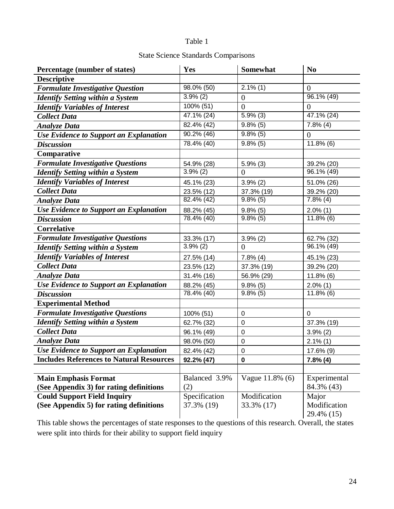# Table 1

# State Science Standards Comparisons

| Percentage (number of states)                   | Yes                      | Somewhat               | N <sub>0</sub>             |
|-------------------------------------------------|--------------------------|------------------------|----------------------------|
| <b>Descriptive</b>                              |                          |                        |                            |
| <b>Formulate Investigative Question</b>         | 98.0% (50)               | $2.1\%$ (1)            | $\overline{0}$             |
| <b>Identify Setting within a System</b>         | $3.9\%$ (2)              | $\overline{0}$         | $96.1\%$ (49)              |
| <b>Identify Variables of Interest</b>           | $100\%$ (51)             | $\overline{0}$         | $\overline{0}$             |
| <b>Collect Data</b>                             | 47.1% (24)               | $5.9\%$ (3)            | $47.1\%$ (24)              |
| <b>Analyze Data</b>                             | $\overline{82.4\%}$ (42) | $\overline{9.8\%}$ (5) | $7.8\%$ (4)                |
| <b>Use Evidence to Support an Explanation</b>   | 90.2% (46)               | $9.8\%$ (5)            | $\overline{0}$             |
| <b>Discussion</b>                               | $78.4\%$ (40)            | $9.8\%$ (5)            | $11.8\%$ (6)               |
| Comparative                                     |                          |                        |                            |
| <b>Formulate Investigative Questions</b>        | 54.9% (28)               | $5.9\%$ (3)            | 39.2% (20)                 |
| <b>Identify Setting within a System</b>         | 3.9%(2)                  | $\overline{0}$         | $\overline{96.1\%}$ (49)   |
| <b>Identify Variables of Interest</b>           | 45.1% (23)               | 3.9%(2)                | 51.0% (26)                 |
| <b>Collect Data</b>                             | 23.5% (12)               | 37.3% (19)             | 39.2% (20)                 |
| <b>Analyze Data</b>                             | 82.4% (42)               | $9.8\%$ (5)            | $7.8\%$ (4)                |
| Use Evidence to Support an Explanation          | 88.2% (45)               | $9.8\%$ (5)            | $2.0\%$ (1)                |
| <b>Discussion</b>                               | 78.4% (40)               | $9.8\%$ (5)            | $11.8\%$ (6)               |
| <b>Correlative</b>                              |                          |                        |                            |
| <b>Formulate Investigative Questions</b>        | 33.3% (17)               | $3.9\%$ (2)            | 62.7% (32)                 |
| <b>Identify Setting within a System</b>         | $3.9\%$ (2)              | $\overline{0}$         | 96.1% (49)                 |
| <b>Identify Variables of Interest</b>           | 27.5% (14)               | $7.8\%$ (4)            | 45.1% (23)                 |
| <b>Collect Data</b>                             | 23.5% (12)               | 37.3% (19)             | 39.2% (20)                 |
| <b>Analyze Data</b>                             | 31.4% (16)               | 56.9% (29)             | $11.8\%$ (6)               |
| Use Evidence to Support an Explanation          | 88.2% (45)               | $9.8\%$ (5)            | $2.0\%$ (1)                |
| <b>Discussion</b>                               | 78.4% (40)               | $9.8\%$ (5)            | $11.8\%$ (6)               |
| <b>Experimental Method</b>                      |                          |                        |                            |
| <b>Formulate Investigative Questions</b>        | 100% (51)                | $\pmb{0}$              | $\mathbf{0}$               |
| <b>Identify Setting within a System</b>         | 62.7% (32)               | $\mathbf 0$            | 37.3% (19)                 |
| <b>Collect Data</b>                             | 96.1% (49)               | $\mathbf 0$            | $3.9\%$ (2)                |
| <b>Analyze Data</b>                             | 98.0% (50)               | 0                      | $2.1\%$ (1)                |
| Use Evidence to Support an Explanation          | 82.4% (42)               | $\pmb{0}$              | 17.6% (9)                  |
| <b>Includes References to Natural Resources</b> | 92.2% (47)               | $\mathbf 0$            | 7.8%(4)                    |
|                                                 |                          |                        |                            |
| <b>Main Emphasis Format</b>                     | Balanced 3.9%            | Vague 11.8% (6)        | Experimental               |
| (See Appendix 3) for rating definitions         | (2)                      |                        | 84.3% (43)                 |
| <b>Could Support Field Inquiry</b>              | Specification            | Modification           | Major                      |
| (See Appendix 5) for rating definitions         | 37.3% (19)               | 33.3% (17)             | Modification<br>29.4% (15) |

This table shows the percentages of state responses to the questions of this research. Overall, the states were split into thirds for their ability to support field inquiry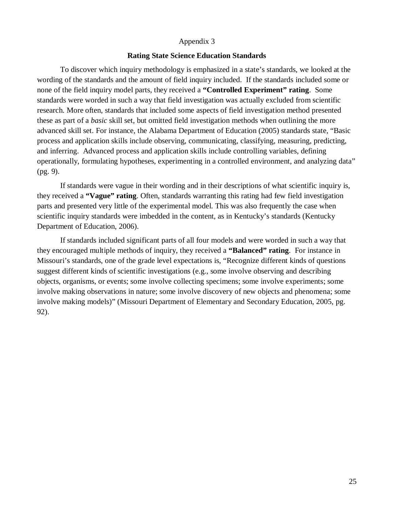#### **Rating State Science Education Standards**

To discover which inquiry methodology is emphasized in a state's standards, we looked at the wording of the standards and the amount of field inquiry included. If the standards included some or none of the field inquiry model parts, they received a **"Controlled Experiment" rating**. Some standards were worded in such a way that field investigation was actually excluded from scientific research. More often, standards that included some aspects of field investigation method presented these as part of a *basic* skill set, but omitted field investigation methods when outlining the more advanced skill set. For instance, the Alabama Department of Education (2005) standards state, "Basic process and application skills include observing, communicating, classifying, measuring, predicting, and inferring. Advanced process and application skills include controlling variables, defining operationally, formulating hypotheses, experimenting in a controlled environment, and analyzing data" (pg. 9).

If standards were vague in their wording and in their descriptions of what scientific inquiry is, they received a **"Vague" rating**. Often, standards warranting this rating had few field investigation parts and presented very little of the experimental model. This was also frequently the case when scientific inquiry standards were imbedded in the content, as in Kentucky's standards (Kentucky Department of Education, 2006).

If standards included significant parts of all four models and were worded in such a way that they encouraged multiple methods of inquiry, they received a **"Balanced" rating**. For instance in Missouri's standards, one of the grade level expectations is, "Recognize different kinds of questions suggest different kinds of scientific investigations (e.g., some involve observing and describing objects, organisms, or events; some involve collecting specimens; some involve experiments; some involve making observations in nature; some involve discovery of new objects and phenomena; some involve making models)" (Missouri Department of Elementary and Secondary Education, 2005, pg. 92).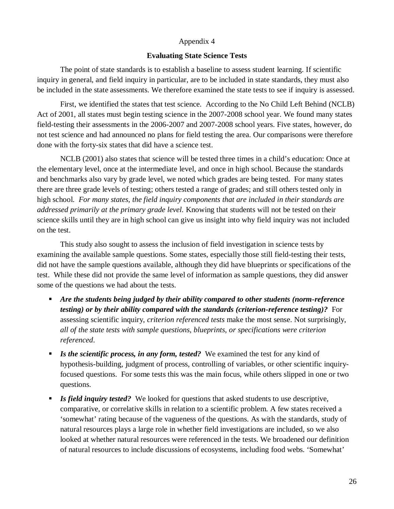#### **Evaluating State Science Tests**

The point of state standards is to establish a baseline to assess student learning. If scientific inquiry in general, and field inquiry in particular, are to be included in state standards, they must also be included in the state assessments. We therefore examined the state tests to see if inquiry is assessed.

First, we identified the states that test science. According to the No Child Left Behind (NCLB) Act of 2001, all states must begin testing science in the 2007-2008 school year. We found many states field-testing their assessments in the 2006-2007 and 2007-2008 school years. Five states, however, do not test science and had announced no plans for field testing the area. Our comparisons were therefore done with the forty-six states that did have a science test.

NCLB (2001) also states that science will be tested three times in a child's education: Once at the elementary level, once at the intermediate level, and once in high school. Because the standards and benchmarks also vary by grade level, we noted which grades are being tested. For many states there are three grade levels of testing; others tested a range of grades; and still others tested only in high school. *For many states, the field inquiry components that are included in their standards are addressed primarily at the primary grade level.* Knowing that students will not be tested on their science skills until they are in high school can give us insight into why field inquiry was not included on the test.

This study also sought to assess the inclusion of field investigation in science tests by examining the available sample questions. Some states, especially those still field-testing their tests, did not have the sample questions available, although they did have blueprints or specifications of the test. While these did not provide the same level of information as sample questions, they did answer some of the questions we had about the tests.

- *Are the students being judged by their ability compared to other students (norm-reference testing) or by their ability compared with the standards (criterion-reference testing)?* For assessing scientific inquiry, *criterion referenced tests* make the most sense. Not surprisingly, *all of the state tests with sample questions, blueprints, or specifications were criterion referenced*.
- *Is the scientific process, in any form, tested?* We examined the test for any kind of hypothesis-building, judgment of process, controlling of variables, or other scientific inquiryfocused questions. For some tests this was the main focus, while others slipped in one or two questions.
- *Is field inquiry tested?* We looked for questions that asked students to use descriptive, comparative, or correlative skills in relation to a scientific problem. A few states received a 'somewhat' rating because of the vagueness of the questions. As with the standards, study of natural resources plays a large role in whether field investigations are included, so we also looked at whether natural resources were referenced in the tests. We broadened our definition of natural resources to include discussions of ecosystems, including food webs. 'Somewhat'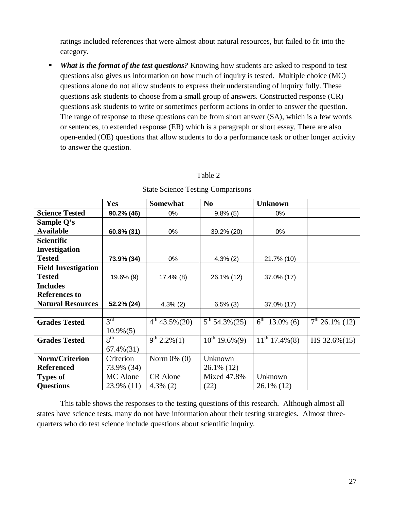ratings included references that were almost about natural resources, but failed to fit into the category.

 *What is the format of the test questions?* Knowing how students are asked to respond to test questions also gives us information on how much of inquiry is tested. Multiple choice (MC) questions alone do not allow students to express their understanding of inquiry fully. These questions ask students to choose from a small group of answers. Constructed response (CR) questions ask students to write or sometimes perform actions in order to answer the question. The range of response to these questions can be from short answer (SA), which is a few words or sentences, to extended response (ER) which is a paragraph or short essay. There are also open-ended (OE) questions that allow students to do a performance task or other longer activity to answer the question.

# Table 2

|                            | Yes             | <b>Somewhat</b>               | N <sub>0</sub>     | <b>Unknown</b>                 |                  |
|----------------------------|-----------------|-------------------------------|--------------------|--------------------------------|------------------|
| <b>Science Tested</b>      | 90.2% (46)      | 0%                            | $9.8\%$ (5)        | 0%                             |                  |
| Sample Q's                 |                 |                               |                    |                                |                  |
| <b>Available</b>           | 60.8% (31)      | 0%                            | 39.2% (20)         | 0%                             |                  |
| <b>Scientific</b>          |                 |                               |                    |                                |                  |
| Investigation              |                 |                               |                    |                                |                  |
| <b>Tested</b>              | 73.9% (34)      | 0%                            | $4.3\%$ (2)        | 21.7% (10)                     |                  |
| <b>Field Investigation</b> |                 |                               |                    |                                |                  |
| <b>Tested</b>              | 19.6% (9)       | $17.4\%$ (8)                  | 26.1% (12)         | 37.0% (17)                     |                  |
| <b>Includes</b>            |                 |                               |                    |                                |                  |
| <b>References to</b>       |                 |                               |                    |                                |                  |
| <b>Natural Resources</b>   | 52.2% (24)      | $4.3\%$ (2)                   | $6.5\%$ (3)        | 37.0% (17)                     |                  |
|                            |                 |                               |                    |                                |                  |
| <b>Grades Tested</b>       | $3^{\text{rd}}$ | $\overline{4^{th}}$ 43.5%(20) | $5^{th}$ 54.3%(25) | $\overline{6}^{th}$ 13.0% (6)  | $7th$ 26.1% (12) |
|                            | $10.9\% (5)$    |                               |                    |                                |                  |
| <b>Grades Tested</b>       | 8 <sup>th</sup> | $\overline{9^{th}}$ 2.2%(1)   | $10^{th}$ 19.6%(9) | $\overline{11^{th}}$ 17.4% (8) | HS 32.6%(15)     |
|                            | $67.4\%(31)$    |                               |                    |                                |                  |
| Norm/Criterion             | Criterion       | Norm $0\%$ (0)                | Unknown            |                                |                  |
| <b>Referenced</b>          | 73.9% (34)      |                               | 26.1% (12)         |                                |                  |
| <b>Types of</b>            | MC Alone        | CR Alone                      | Mixed 47.8%        | Unknown                        |                  |
| <b>Questions</b>           | 23.9% (11)      | $4.3\%$ (2)                   | (22)               | 26.1% (12)                     |                  |

State Science Testing Comparisons

This table shows the responses to the testing questions of this research. Although almost all states have science tests, many do not have information about their testing strategies. Almost threequarters who do test science include questions about scientific inquiry.